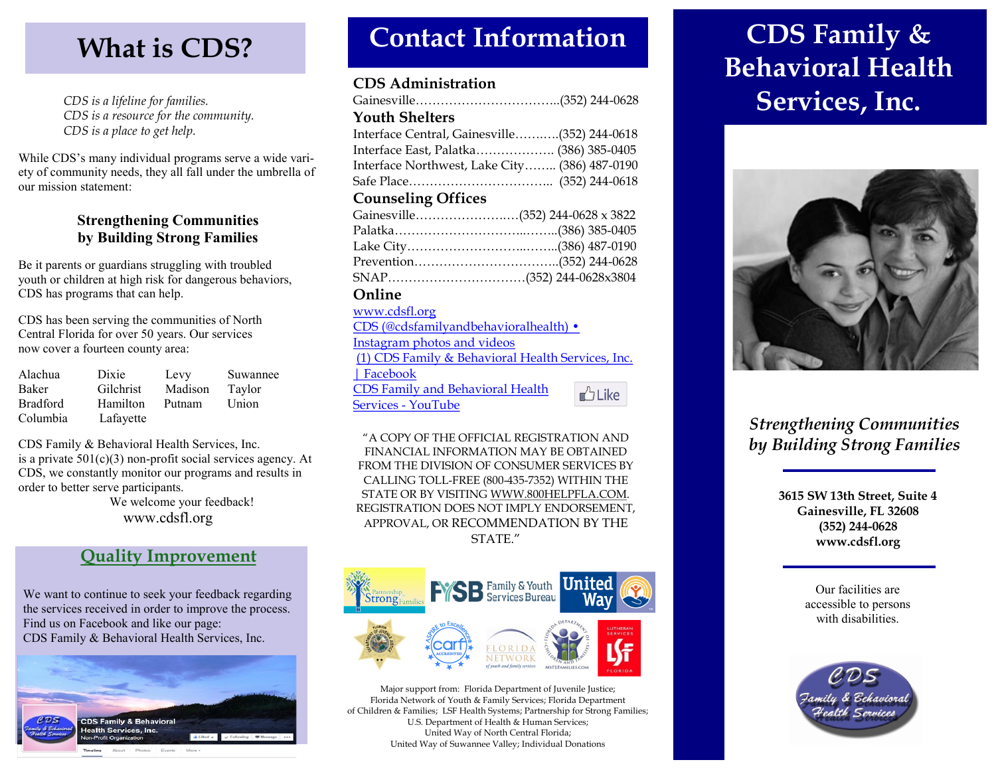*CDS is a lifeline for families. CDS is a resource for the community. CDS is a place to get help.*

While CDS's many individual programs serve a wide variety of community needs, they all fall under the umbrella of our mission statement:

### **Strengthening Communities by Building Strong Families**

Be it parents or guardians struggling with troubled youth or children at high risk for dangerous behaviors, CDS has programs that can help.

CDS has been serving the communities of North Central Florida for over 50 years. Our services now cover a fourteen county area:

| Alachua         | Dixie     | Levy    | Suwannee |
|-----------------|-----------|---------|----------|
| Baker           | Gilchrist | Madison | Taylor   |
| <b>Bradford</b> | Hamilton  | Putnam  | Union    |
| Columbia        | Lafayette |         |          |

CDS Family & Behavioral Health Services, Inc. is a private  $501(c)(3)$  non-profit social services agency. At CDS, we constantly monitor our programs and results in order to better serve participants.

 We welcome your feedback! www.cdsfl.org

## **Quality Improvement**

We want to continue to seek your feedback regarding the services received in order to improve the process. Find us on Facebook and like our page: CDS Family & Behavioral Health Services, Inc.



# **What is CDS? Contact Information**

### **CDS Administration**

| <b>Youth Shelters</b>                         |  |
|-----------------------------------------------|--|
| Interface Central, Gainesville(352) 244-0618  |  |
| Interface East, Palatka (386) 385-0405        |  |
| Interface Northwest, Lake City (386) 487-0190 |  |
|                                               |  |
| <b>Counseling Offices</b>                     |  |
|                                               |  |
|                                               |  |
|                                               |  |
|                                               |  |
|                                               |  |
| Online                                        |  |

#### [www.cdsfl.org](http://www.cdsfl.org)

| CDS (@cdsfamilyandbehavioralhealth) •             |                  |
|---------------------------------------------------|------------------|
| Instagram photos and videos                       |                  |
| (1) CDS Family & Behavioral Health Services, Inc. |                  |
| $ $ Facebook                                      |                  |
| <b>CDS Family and Behavioral Health</b>           | $\triangle$ Like |
| Services - YouTube                                |                  |

"A COPY OF THE OFFICIAL REGISTRATION AND FINANCIAL INFORMATION MAY BE OBTAINED FROM THE DIVISION OF CONSUMER SERVICES BY CALLING TOLL-FREE (800-435-7352) WITHIN THE STATE OR BY VISITING WWW.800HELPFLA.COM. REGISTRATION DOES NOT IMPLY ENDORSEMENT, APPROVAL, OR RECOMMENDATION BY THE STATE."



Major support from: Florida Department of Juvenile Justice; Florida Network of Youth & Family Services; Florida Department of Children & Families; LSF Health Systems; Partnership for Strong Families; U.S. Department of Health & Human Services; United Way of North Central Florida; United Way of Suwannee Valley; Individual Donations

# **CDS Family & Behavioral Health Services, Inc.**



## *Strengthening Communities by Building Strong Families*

**3615 SW 13th Street, Suite 4 Gainesville, FL 32608 (352) 244-0628 www.cdsfl.org**

> Our facilities are accessible to persons with disabilities.